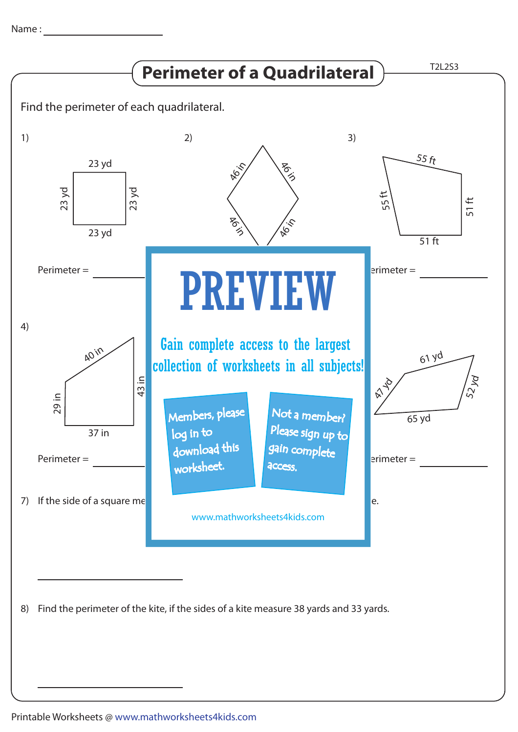